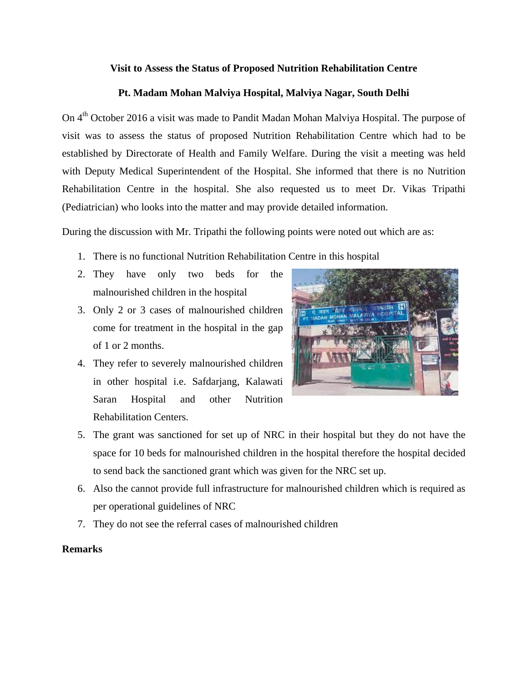## **Visit to Assess the Status of Proposed Nutrition Rehabilitation Centre**

## **Pt. Madam Mohan Malviya Hospital, Malviya Nagar, South Delhi**

On 4th October 2016 a visit was made to Pandit Madan Mohan Malviya Hospital. The purpose of visit was to assess the status of proposed Nutrition Rehabilitation Centre which had to be established by Directorate of Health and Family Welfare. During the visit a meeting was held with Deputy Medical Superintendent of the Hospital. She informed that there is no Nutrition Rehabilitation Centre in the hospital. She also requested us to meet Dr. Vikas Tripathi (Pediatrician) who looks into the matter and may provide detailed information.

During the discussion with Mr. Tripathi the following points were noted out which are as:

- 1. There is no functional Nutrition Rehabilitation Centre in this hospital
- 2. They have only two beds for the malnourished children in the hospital
- 3. Only 2 or 3 cases of malnourished children come for treatment in the hospital in the gap of 1 or 2 months.
- 4. They refer to severely malnourished children in other hospital i.e. Safdarjang, Kalawati Saran Hospital and other Nutrition Rehabilitation Centers.



- 5. The grant was sanctioned for set up of NRC in their hospital but they do not have the space for 10 beds for malnourished children in the hospital therefore the hospital decided to send back the sanctioned grant which was given for the NRC set up.
- 6. Also the cannot provide full infrastructure for malnourished children which is required as per operational guidelines of NRC
- 7. They do not see the referral cases of malnourished children

## **Remarks**